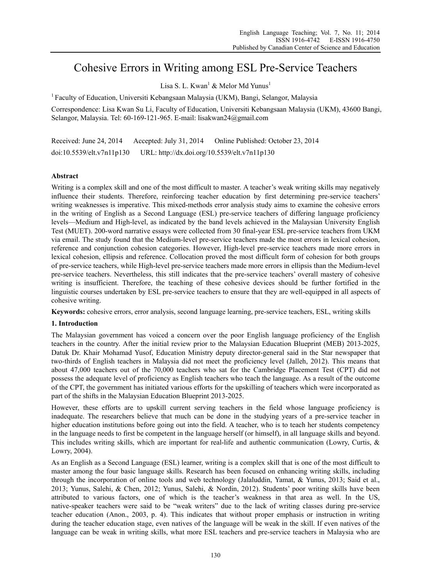# Cohesive Errors in Writing among ESL Pre-Service Teachers

Lisa S. L. Kwan<sup>1</sup> & Melor Md Yunus<sup>1</sup>

1 Faculty of Education, Universiti Kebangsaan Malaysia (UKM), Bangi, Selangor, Malaysia

Correspondence: Lisa Kwan Su Li, Faculty of Education, Universiti Kebangsaan Malaysia (UKM), 43600 Bangi, Selangor, Malaysia. Tel: 60-169-121-965. E-mail: lisakwan24@gmail.com

Received: June 24, 2014 Accepted: July 31, 2014 Online Published: October 23, 2014 doi:10.5539/elt.v7n11p130 URL: http://dx.doi.org/10.5539/elt.v7n11p130

# **Abstract**

Writing is a complex skill and one of the most difficult to master. A teacher's weak writing skills may negatively influence their students. Therefore, reinforcing teacher education by first determining pre-service teachers' writing weaknesses is imperative. This mixed-methods error analysis study aims to examine the cohesive errors in the writing of English as a Second Language (ESL) pre-service teachers of differing language proficiency levels—Medium and High-level, as indicated by the band levels achieved in the Malaysian University English Test (MUET). 200-word narrative essays were collected from 30 final-year ESL pre-service teachers from UKM via email. The study found that the Medium-level pre-service teachers made the most errors in lexical cohesion, reference and conjunction cohesion categories. However, High-level pre-service teachers made more errors in lexical cohesion, ellipsis and reference. Collocation proved the most difficult form of cohesion for both groups of pre-service teachers, while High-level pre-service teachers made more errors in ellipsis than the Medium-level pre-service teachers. Nevertheless, this still indicates that the pre-service teachers' overall mastery of cohesive writing is insufficient. Therefore, the teaching of these cohesive devices should be further fortified in the linguistic courses undertaken by ESL pre-service teachers to ensure that they are well-equipped in all aspects of cohesive writing.

**Keywords:** cohesive errors, error analysis, second language learning, pre-service teachers, ESL, writing skills

# **1. Introduction**

The Malaysian government has voiced a concern over the poor English language proficiency of the English teachers in the country. After the initial review prior to the Malaysian Education Blueprint (MEB) 2013-2025, Datuk Dr. Khair Mohamad Yusof, Education Ministry deputy director-general said in the Star newspaper that two-thirds of English teachers in Malaysia did not meet the proficiency level (Jalleh, 2012). This means that about 47,000 teachers out of the 70,000 teachers who sat for the Cambridge Placement Test (CPT) did not possess the adequate level of proficiency as English teachers who teach the language. As a result of the outcome of the CPT, the government has initiated various efforts for the upskilling of teachers which were incorporated as part of the shifts in the Malaysian Education Blueprint 2013-2025.

However, these efforts are to upskill current serving teachers in the field whose language proficiency is inadequate. The researchers believe that much can be done in the studying years of a pre-service teacher in higher education institutions before going out into the field. A teacher, who is to teach her students competency in the language needs to first be competent in the language herself (or himself), in all language skills and beyond. This includes writing skills, which are important for real-life and authentic communication (Lowry, Curtis, & Lowry, 2004).

As an English as a Second Language (ESL) learner, writing is a complex skill that is one of the most difficult to master among the four basic language skills. Research has been focused on enhancing writing skills, including through the incorporation of online tools and web technology (Jalaluddin, Yamat, & Yunus, 2013; Said et al., 2013; Yunus, Salehi, & Chen, 2012; Yunus, Salehi, & Nordin, 2012). Students' poor writing skills have been attributed to various factors, one of which is the teacher's weakness in that area as well. In the US, native-speaker teachers were said to be "weak writers" due to the lack of writing classes during pre-service teacher education (Anon., 2003, p. 4). This indicates that without proper emphasis or instruction in writing during the teacher education stage, even natives of the language will be weak in the skill. If even natives of the language can be weak in writing skills, what more ESL teachers and pre-service teachers in Malaysia who are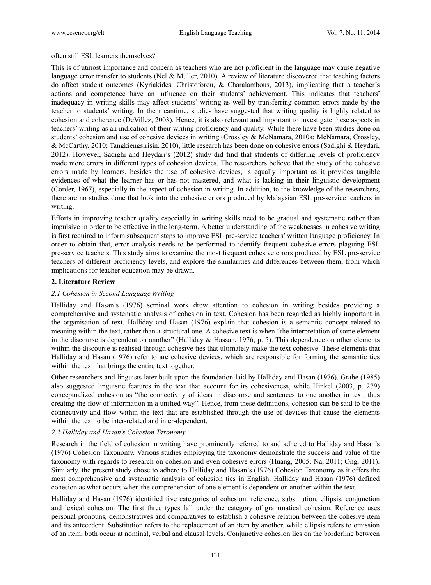#### often still ESL learners themselves?

This is of utmost importance and concern as teachers who are not proficient in the language may cause negative language error transfer to students (Nel & Müller, 2010). A review of literature discovered that teaching factors do affect student outcomes (Kyriakides, Christoforou, & Charalambous, 2013), implicating that a teacher's actions and competence have an influence on their students' achievement. This indicates that teachers' inadequacy in writing skills may affect students' writing as well by transferring common errors made by the teacher to students' writing. In the meantime, studies have suggested that writing quality is highly related to cohesion and coherence (DeVillez, 2003). Hence, it is also relevant and important to investigate these aspects in teachers' writing as an indication of their writing proficiency and quality. While there have been studies done on students' cohesion and use of cohesive devices in writing (Crossley & McNamara, 2010a; McNamara, Crossley, & McCarthy, 2010; Tangkiengsirisin, 2010), little research has been done on cohesive errors (Sadighi & Heydari, 2012). However, Sadighi and Heydari's (2012) study did find that students of differing levels of proficiency made more errors in different types of cohesion devices. The researchers believe that the study of the cohesive errors made by learners, besides the use of cohesive devices, is equally important as it provides tangible evidences of what the learner has or has not mastered, and what is lacking in their linguistic development (Corder, 1967), especially in the aspect of cohesion in writing. In addition, to the knowledge of the researchers, there are no studies done that look into the cohesive errors produced by Malaysian ESL pre-service teachers in writing.

Efforts in improving teacher quality especially in writing skills need to be gradual and systematic rather than impulsive in order to be effective in the long-term. A better understanding of the weaknesses in cohesive writing is first required to inform subsequent steps to improve ESL pre-service teachers' written language proficiency. In order to obtain that, error analysis needs to be performed to identify frequent cohesive errors plaguing ESL pre-service teachers. This study aims to examine the most frequent cohesive errors produced by ESL pre-service teachers of different proficiency levels, and explore the similarities and differences between them; from which implications for teacher education may be drawn.

#### **2. Literature Review**

#### *2.1 Cohesion in Second Language Writing*

Halliday and Hasan's (1976) seminal work drew attention to cohesion in writing besides providing a comprehensive and systematic analysis of cohesion in text. Cohesion has been regarded as highly important in the organisation of text. Halliday and Hasan (1976) explain that cohesion is a semantic concept related to meaning within the text, rather than a structural one. A cohesive text is when "the interpretation of some element in the discourse is dependent on another" (Halliday & Hassan, 1976, p. 5). This dependence on other elements within the discourse is realised through cohesive ties that ultimately make the text cohesive. These elements that Halliday and Hasan (1976) refer to are cohesive devices, which are responsible for forming the semantic ties within the text that brings the entire text together.

Other researchers and linguists later built upon the foundation laid by Halliday and Hasan (1976). Grabe (1985) also suggested linguistic features in the text that account for its cohesiveness, while Hinkel (2003, p. 279) conceptualized cohesion as "the connectivity of ideas in discourse and sentences to one another in text, thus creating the flow of information in a unified way". Hence, from these definitions, cohesion can be said to be the connectivity and flow within the text that are established through the use of devices that cause the elements within the text to be inter-related and inter-dependent.

#### *2.2 Halliday and Hasan's Cohesion Taxonomy*

Research in the field of cohesion in writing have prominently referred to and adhered to Halliday and Hasan's (1976) Cohesion Taxonomy. Various studies employing the taxonomy demonstrate the success and value of the taxonomy with regards to research on cohesion and even cohesive errors (Huang, 2005; Na, 2011; Ong, 2011). Similarly, the present study chose to adhere to Halliday and Hasan's (1976) Cohesion Taxonomy as it offers the most comprehensive and systematic analysis of cohesion ties in English. Halliday and Hasan (1976) defined cohesion as what occurs when the comprehension of one element is dependent on another within the text.

Halliday and Hasan (1976) identified five categories of cohesion: reference, substitution, ellipsis, conjunction and lexical cohesion. The first three types fall under the category of grammatical cohesion. Reference uses personal pronouns, demonstratives and comparatives to establish a cohesive relation between the cohesive item and its antecedent. Substitution refers to the replacement of an item by another, while ellipsis refers to omission of an item; both occur at nominal, verbal and clausal levels. Conjunctive cohesion lies on the borderline between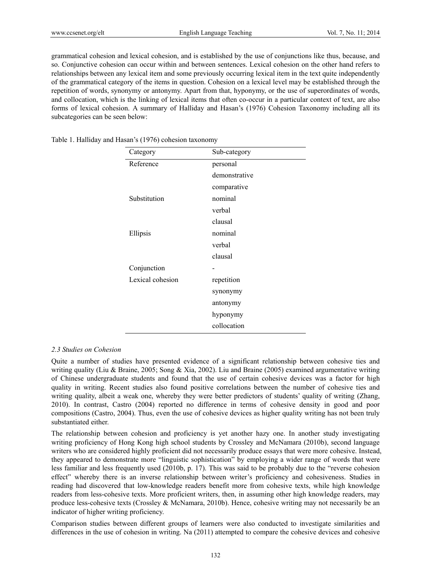grammatical cohesion and lexical cohesion, and is established by the use of conjunctions like thus, because, and so. Conjunctive cohesion can occur within and between sentences. Lexical cohesion on the other hand refers to relationships between any lexical item and some previously occurring lexical item in the text quite independently of the grammatical category of the items in question. Cohesion on a lexical level may be established through the repetition of words, synonymy or antonymy. Apart from that, hyponymy, or the use of superordinates of words, and collocation, which is the linking of lexical items that often co-occur in a particular context of text, are also forms of lexical cohesion. A summary of Halliday and Hasan's (1976) Cohesion Taxonomy including all its subcategories can be seen below:

| Category         | Sub-category  |
|------------------|---------------|
| Reference        | personal      |
|                  | demonstrative |
|                  | comparative   |
| Substitution     | nominal       |
|                  | verbal        |
|                  | clausal       |
| Ellipsis         | nominal       |
|                  | verbal        |
|                  | clausal       |
| Conjunction      |               |
| Lexical cohesion | repetition    |
|                  | synonymy      |
|                  | antonymy      |
|                  | hyponymy      |
|                  | collocation   |

Table 1. Halliday and Hasan's (1976) cohesion taxonomy

### *2.3 Studies on Cohesion*

Quite a number of studies have presented evidence of a significant relationship between cohesive ties and writing quality (Liu & Braine, 2005; Song & Xia, 2002). Liu and Braine (2005) examined argumentative writing of Chinese undergraduate students and found that the use of certain cohesive devices was a factor for high quality in writing. Recent studies also found positive correlations between the number of cohesive ties and writing quality, albeit a weak one, whereby they were better predictors of students' quality of writing (Zhang, 2010). In contrast, Castro (2004) reported no difference in terms of cohesive density in good and poor compositions (Castro, 2004). Thus, even the use of cohesive devices as higher quality writing has not been truly substantiated either.

The relationship between cohesion and proficiency is yet another hazy one. In another study investigating writing proficiency of Hong Kong high school students by Crossley and McNamara (2010b), second language writers who are considered highly proficient did not necessarily produce essays that were more cohesive. Instead, they appeared to demonstrate more "linguistic sophistication" by employing a wider range of words that were less familiar and less frequently used (2010b, p. 17). This was said to be probably due to the "reverse cohesion effect" whereby there is an inverse relationship between writer's proficiency and cohesiveness. Studies in reading had discovered that low-knowledge readers benefit more from cohesive texts, while high knowledge readers from less-cohesive texts. More proficient writers, then, in assuming other high knowledge readers, may produce less-cohesive texts (Crossley & McNamara, 2010b). Hence, cohesive writing may not necessarily be an indicator of higher writing proficiency.

Comparison studies between different groups of learners were also conducted to investigate similarities and differences in the use of cohesion in writing. Na (2011) attempted to compare the cohesive devices and cohesive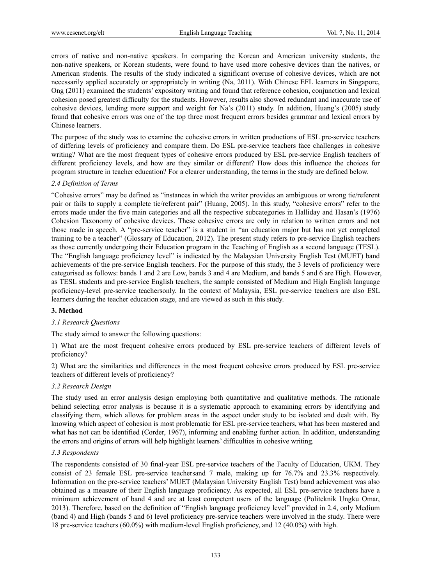errors of native and non-native speakers. In comparing the Korean and American university students, the non-native speakers, or Korean students, were found to have used more cohesive devices than the natives, or American students. The results of the study indicated a significant overuse of cohesive devices, which are not necessarily applied accurately or appropriately in writing (Na, 2011). With Chinese EFL learners in Singapore, Ong (2011) examined the students' expository writing and found that reference cohesion, conjunction and lexical cohesion posed greatest difficulty for the students. However, results also showed redundant and inaccurate use of cohesive devices, lending more support and weight for Na's (2011) study. In addition, Huang's (2005) study found that cohesive errors was one of the top three most frequent errors besides grammar and lexical errors by Chinese learners.

The purpose of the study was to examine the cohesive errors in written productions of ESL pre-service teachers of differing levels of proficiency and compare them. Do ESL pre-service teachers face challenges in cohesive writing? What are the most frequent types of cohesive errors produced by ESL pre-service English teachers of different proficiency levels, and how are they similar or different? How does this influence the choices for program structure in teacher education? For a clearer understanding, the terms in the study are defined below.

#### *2.4 Definition of Terms*

"Cohesive errors" may be defined as "instances in which the writer provides an ambiguous or wrong tie/referent pair or fails to supply a complete tie/referent pair" (Huang, 2005). In this study, "cohesive errors" refer to the errors made under the five main categories and all the respective subcategories in Halliday and Hasan's (1976) Cohesion Taxonomy of cohesive devices. These cohesive errors are only in relation to written errors and not those made in speech. A "pre-service teacher" is a student in "an education major but has not yet completed training to be a teacher" (Glossary of Education, 2012). The present study refers to pre-service English teachers as those currently undergoing their Education program in the Teaching of English as a second language (TESL). The "English language proficiency level" is indicated by the Malaysian University English Test (MUET) band achievements of the pre-service English teachers. For the purpose of this study, the 3 levels of proficiency were categorised as follows: bands 1 and 2 are Low, bands 3 and 4 are Medium, and bands 5 and 6 are High. However, as TESL students and pre-service English teachers, the sample consisted of Medium and High English language proficiency-level pre-service teachersonly. In the context of Malaysia, ESL pre-service teachers are also ESL learners during the teacher education stage, and are viewed as such in this study.

#### **3. Method**

#### *3.1 Research Questions*

The study aimed to answer the following questions:

1) What are the most frequent cohesive errors produced by ESL pre-service teachers of different levels of proficiency?

2) What are the similarities and differences in the most frequent cohesive errors produced by ESL pre-service teachers of different levels of proficiency?

#### *3.2 Research Design*

The study used an error analysis design employing both quantitative and qualitative methods. The rationale behind selecting error analysis is because it is a systematic approach to examining errors by identifying and classifying them, which allows for problem areas in the aspect under study to be isolated and dealt with. By knowing which aspect of cohesion is most problematic for ESL pre-service teachers, what has been mastered and what has not can be identified (Corder, 1967), informing and enabling further action. In addition, understanding the errors and origins of errors will help highlight learners' difficulties in cohesive writing.

#### *3.3 Respondents*

The respondents consisted of 30 final-year ESL pre-service teachers of the Faculty of Education, UKM. They consist of 23 female ESL pre-service teachersand 7 male, making up for 76.7% and 23.3% respectively. Information on the pre-service teachers' MUET (Malaysian University English Test) band achievement was also obtained as a measure of their English language proficiency. As expected, all ESL pre-service teachers have a minimum achievement of band 4 and are at least competent users of the language (Politeknik Ungku Omar, 2013). Therefore, based on the definition of "English language proficiency level" provided in 2.4, only Medium (band 4) and High (bands 5 and 6) level proficiency pre-service teachers were involved in the study. There were 18 pre-service teachers (60.0%) with medium-level English proficiency, and 12 (40.0%) with high.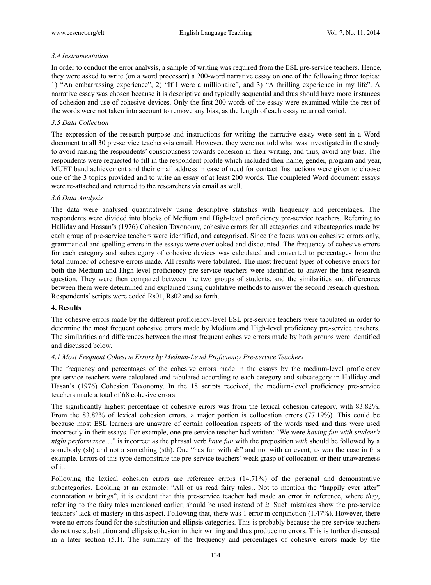#### *3.4 Instrumentation*

In order to conduct the error analysis, a sample of writing was required from the ESL pre-service teachers. Hence, they were asked to write (on a word processor) a 200-word narrative essay on one of the following three topics: 1) "An embarrassing experience", 2) "If I were a millionaire", and 3) "A thrilling experience in my life". A narrative essay was chosen because it is descriptive and typically sequential and thus should have more instances of cohesion and use of cohesive devices. Only the first 200 words of the essay were examined while the rest of the words were not taken into account to remove any bias, as the length of each essay returned varied.

### *3.5 Data Collection*

The expression of the research purpose and instructions for writing the narrative essay were sent in a Word document to all 30 pre-service teachersvia email. However, they were not told what was investigated in the study to avoid raising the respondents' consciousness towards cohesion in their writing, and thus, avoid any bias. The respondents were requested to fill in the respondent profile which included their name, gender, program and year, MUET band achievement and their email address in case of need for contact. Instructions were given to choose one of the 3 topics provided and to write an essay of at least 200 words. The completed Word document essays were re-attached and returned to the researchers via email as well.

#### *3.6 Data Analysis*

The data were analysed quantitatively using descriptive statistics with frequency and percentages. The respondents were divided into blocks of Medium and High-level proficiency pre-service teachers. Referring to Halliday and Hassan's (1976) Cohesion Taxonomy, cohesive errors for all categories and subcategories made by each group of pre-service teachers were identified, and categorised. Since the focus was on cohesive errors only, grammatical and spelling errors in the essays were overlooked and discounted. The frequency of cohesive errors for each category and subcategory of cohesive devices was calculated and converted to percentages from the total number of cohesive errors made. All results were tabulated. The most frequent types of cohesive errors for both the Medium and High-level proficiency pre-service teachers were identified to answer the first research question. They were then compared between the two groups of students, and the similarities and differences between them were determined and explained using qualitative methods to answer the second research question. Respondents' scripts were coded Rs01, Rs02 and so forth.

#### **4. Results**

The cohesive errors made by the different proficiency-level ESL pre-service teachers were tabulated in order to determine the most frequent cohesive errors made by Medium and High-level proficiency pre-service teachers. The similarities and differences between the most frequent cohesive errors made by both groups were identified and discussed below.

#### *4.1 Most Frequent Cohesive Errors by Medium-Level Proficiency Pre-service Teachers*

The frequency and percentages of the cohesive errors made in the essays by the medium-level proficiency pre-service teachers were calculated and tabulated according to each category and subcategory in Halliday and Hasan's (1976) Cohesion Taxonomy. In the 18 scripts received, the medium-level proficiency pre-service teachers made a total of 68 cohesive errors.

The significantly highest percentage of cohesive errors was from the lexical cohesion category, with 83.82%. From the 83.82% of lexical cohesion errors, a major portion is collocation errors (77.19%). This could be because most ESL learners are unaware of certain collocation aspects of the words used and thus were used incorrectly in their essays. For example, one pre-service teacher had written: "We were *having fun with student's night performance*…" is incorrect as the phrasal verb *have fun* with the preposition *with* should be followed by a somebody (sb) and not a something (sth). One "has fun with sb" and not with an event, as was the case in this example. Errors of this type demonstrate the pre-service teachers' weak grasp of collocation or their unawareness of it.

Following the lexical cohesion errors are reference errors  $(14.71%)$  of the personal and demonstrative subcategories. Looking at an example: "All of us read fairy tales...Not to mention the "happily ever after" connotation *it* brings", it is evident that this pre-service teacher had made an error in reference, where *they*, referring to the fairy tales mentioned earlier, should be used instead of *it*. Such mistakes show the pre-service teachers' lack of mastery in this aspect. Following that, there was 1 error in conjunction (1.47%). However, there were no errors found for the substitution and ellipsis categories. This is probably because the pre-service teachers do not use substitution and ellipsis cohesion in their writing and thus produce no errors. This is further discussed in a later section (5.1). The summary of the frequency and percentages of cohesive errors made by the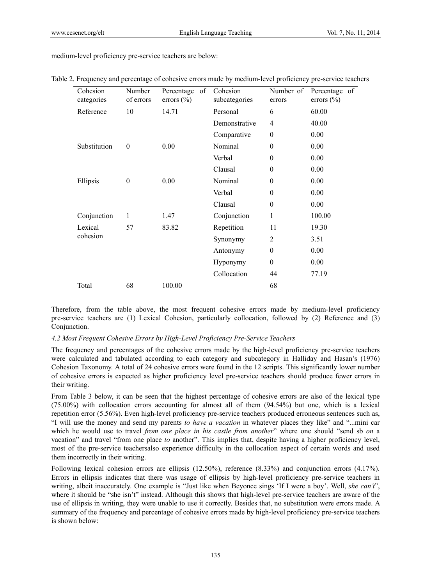medium-level proficiency pre-service teachers are below:

| Cohesion<br>categories | Number<br>of errors | Percentage<br>of<br>errors $(\% )$ | Cohesion<br>subcategories | Number of<br>errors | Percentage of<br>errors $(\% )$ |
|------------------------|---------------------|------------------------------------|---------------------------|---------------------|---------------------------------|
| Reference              | 10                  | 14.71                              | Personal                  | 6                   | 60.00                           |
|                        |                     |                                    | Demonstrative             | 4                   | 40.00                           |
|                        |                     |                                    | Comparative               | $\mathbf{0}$        | 0.00                            |
| Substitution           | $\boldsymbol{0}$    | 0.00                               | Nominal                   | $\mathbf{0}$        | 0.00                            |
|                        |                     |                                    | Verbal                    | $\boldsymbol{0}$    | 0.00                            |
|                        |                     |                                    | Clausal                   | $\theta$            | 0.00                            |
| Ellipsis               | $\boldsymbol{0}$    | 0.00                               | Nominal                   | $\theta$            | 0.00                            |
|                        |                     |                                    | Verbal                    | $\theta$            | 0.00                            |
|                        |                     |                                    | Clausal                   | $\theta$            | 0.00                            |
| Conjunction            | 1                   | 1.47                               | Conjunction               | 1                   | 100.00                          |
| Lexical                | 57                  | 83.82                              | Repetition                | 11                  | 19.30                           |
| cohesion               |                     |                                    | Synonymy                  | $\overline{2}$      | 3.51                            |
|                        |                     |                                    | Antonymy                  | $\boldsymbol{0}$    | 0.00                            |
|                        |                     |                                    | Hyponymy                  | $\theta$            | 0.00                            |
|                        |                     |                                    | Collocation               | 44                  | 77.19                           |
| Total                  | 68                  | 100.00                             |                           | 68                  |                                 |

Table 2. Frequency and percentage of cohesive errors made by medium-level proficiency pre-service teachers

Therefore, from the table above, the most frequent cohesive errors made by medium-level proficiency pre-service teachers are (1) Lexical Cohesion, particularly collocation, followed by (2) Reference and (3) Conjunction.

#### *4.2 Most Frequent Cohesive Errors by High-Level Proficiency Pre-Service Teachers*

The frequency and percentages of the cohesive errors made by the high-level proficiency pre-service teachers were calculated and tabulated according to each category and subcategory in Halliday and Hasan's (1976) Cohesion Taxonomy. A total of 24 cohesive errors were found in the 12 scripts. This significantly lower number of cohesive errors is expected as higher proficiency level pre-service teachers should produce fewer errors in their writing.

From Table 3 below, it can be seen that the highest percentage of cohesive errors are also of the lexical type (75.00%) with collocation errors accounting for almost all of them (94.54%) but one, which is a lexical repetition error (5.56%). Even high-level proficiency pre-service teachers produced erroneous sentences such as, "I will use the money and send my parents *to have a vacation* in whatever places they like" and "...mini car which he would use to travel *from one place in his castle from another*" where one should "send sb *on* a vacation" and travel "from one place *to* another". This implies that, despite having a higher proficiency level, most of the pre-service teachersalso experience difficulty in the collocation aspect of certain words and used them incorrectly in their writing.

Following lexical cohesion errors are ellipsis (12.50%), reference (8.33%) and conjunction errors (4.17%). Errors in ellipsis indicates that there was usage of ellipsis by high-level proficiency pre-service teachers in writing, albeit inaccurately. One example is "Just like when Beyonce sings 'If I were a boy'. Well, *she can't*", where it should be "she isn't" instead. Although this shows that high-level pre-service teachers are aware of the use of ellipsis in writing, they were unable to use it correctly. Besides that, no substitution were errors made. A summary of the frequency and percentage of cohesive errors made by high-level proficiency pre-service teachers is shown below: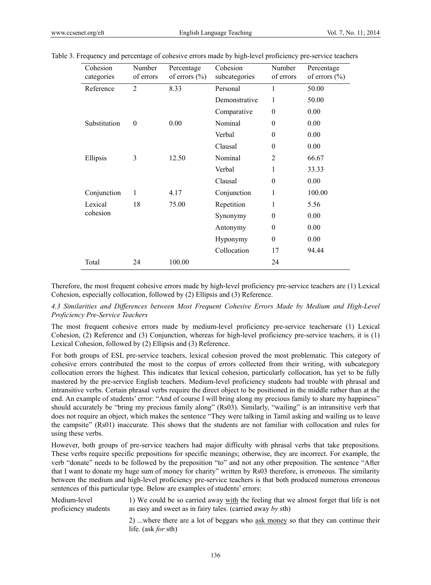| Cohesion<br>categories | Number<br>of errors | Percentage<br>of errors $(\% )$ | Cohesion<br>subcategories | Number<br>of errors | Percentage<br>of errors $(\% )$ |
|------------------------|---------------------|---------------------------------|---------------------------|---------------------|---------------------------------|
| Reference              | 2                   | 8.33                            | Personal                  | 1                   | 50.00                           |
|                        |                     |                                 | Demonstrative             | 1                   | 50.00                           |
|                        |                     |                                 | Comparative               | $\theta$            | 0.00                            |
| Substitution           | $\theta$            | 0.00                            | Nominal                   | $\theta$            | 0.00                            |
|                        |                     |                                 | Verbal                    | $\theta$            | 0.00                            |
|                        |                     |                                 | Clausal                   | $\Omega$            | 0.00                            |
| Ellipsis               | 3                   | 12.50                           | Nominal                   | $\overline{2}$      | 66.67                           |
|                        |                     |                                 | Verbal                    | 1                   | 33.33                           |
|                        |                     |                                 | Clausal                   | $\Omega$            | 0.00                            |
| Conjunction            | 1                   | 4.17                            | Conjunction               | 1                   | 100.00                          |
| Lexical                | 18                  | 75.00                           | Repetition                | 1                   | 5.56                            |
| cohesion               |                     |                                 | Synonymy                  | $\theta$            | 0.00                            |
|                        |                     |                                 | Antonymy                  | $\theta$            | 0.00                            |
|                        |                     |                                 | Hyponymy                  | $\theta$            | 0.00                            |
|                        |                     |                                 | Collocation               | 17                  | 94.44                           |
| Total                  | 24                  | 100.00                          |                           | 24                  |                                 |

|  |  | Table 3. Frequency and percentage of cohesive errors made by high-level proficiency pre-service teachers |  |  |  |
|--|--|----------------------------------------------------------------------------------------------------------|--|--|--|
|  |  |                                                                                                          |  |  |  |

Therefore, the most frequent cohesive errors made by high-level proficiency pre-service teachers are (1) Lexical Cohesion, especially collocation, followed by (2) Ellipsis and (3) Reference.

*4.3 Similarities and Differences between Most Frequent Cohesive Errors Made by Medium and High-Level Proficiency Pre-Service Teachers* 

The most frequent cohesive errors made by medium-level proficiency pre-service teachersare (1) Lexical Cohesion, (2) Reference and (3) Conjunction, whereas for high-level proficiency pre-service teachers, it is (1) Lexical Cohesion, followed by (2) Ellipsis and (3) Reference.

For both groups of ESL pre-service teachers, lexical cohesion proved the most problematic. This category of cohesive errors contributed the most to the corpus of errors collected from their writing, with subcategory collocation errors the highest. This indicates that lexical cohesion, particularly collocation, has yet to be fully mastered by the pre-service English teachers. Medium-level proficiency students had trouble with phrasal and intransitive verbs. Certain phrasal verbs require the direct object to be positioned in the middle rather than at the end. An example of students' error: "And of course I will bring along my precious family to share my happiness" should accurately be "bring my precious family along" (Rs03). Similarly, "wailing" is an intransitive verb that does not require an object, which makes the sentence "They were talking in Tamil asking and wailing us to leave the campsite" (Rs01) inaccurate. This shows that the students are not familiar with collocation and rules for using these verbs.

However, both groups of pre-service teachers had major difficulty with phrasal verbs that take prepositions. These verbs require specific prepositions for specific meanings; otherwise, they are incorrect. For example, the verb "donate" needs to be followed by the preposition "to" and not any other preposition. The sentence "After that I want to donate my huge sum of money for charity" written by Rs03 therefore, is erroneous. The similarity between the medium and high-level proficiency pre-service teachers is that both produced numerous erroneous sentences of this particular type. Below are examples of students' errors:

| Medium-level         | 1) We could be so carried away with the feeling that we almost forget that life is not                                 |
|----------------------|------------------------------------------------------------------------------------------------------------------------|
| proficiency students | as easy and sweet as in fairy tales. (carried away by sth)                                                             |
|                      | 2) where there are a lot of beggars who <u>ask money</u> so that they can continue their<br>life. (ask <i>for</i> sth) |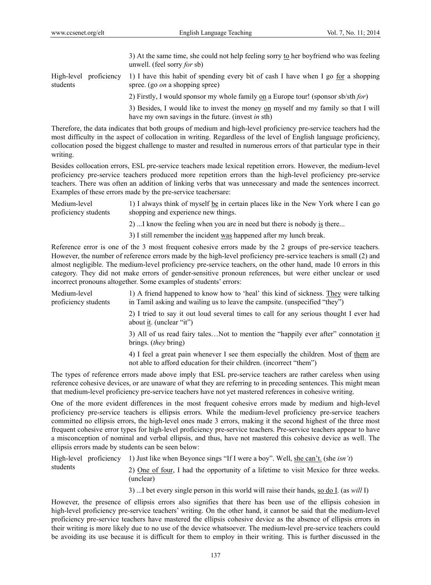3) At the same time, she could not help feeling sorry to her boyfriend who was feeling unwell. (feel sorry *for* sb)

High-level proficiency students 1) I have this habit of spending every bit of cash I have when I go for a shopping spree. (go *on* a shopping spree)

2) Firstly, I would sponsor my whole family on a Europe tour! (sponsor sb/sth *for*)

3) Besides, I would like to invest the money on myself and my family so that I will have my own savings in the future. (invest *in* sth)

Therefore, the data indicates that both groups of medium and high-level proficiency pre-service teachers had the most difficulty in the aspect of collocation in writing. Regardless of the level of English language proficiency, collocation posed the biggest challenge to master and resulted in numerous errors of that particular type in their writing.

Besides collocation errors, ESL pre-service teachers made lexical repetition errors. However, the medium-level proficiency pre-service teachers produced more repetition errors than the high-level proficiency pre-service teachers. There was often an addition of linking verbs that was unnecessary and made the sentences incorrect. Examples of these errors made by the pre-service teachersare:

Medium-level proficiency students 1) I always think of myself be in certain places like in the New York where I can go shopping and experience new things.

2) ...I know the feeling when you are in need but there is nobody is there...

3) I still remember the incident was happened after my lunch break.

Reference error is one of the 3 most frequent cohesive errors made by the 2 groups of pre-service teachers. However, the number of reference errors made by the high-level proficiency pre-service teachers is small (2) and almost negligible. The medium-level proficiency pre-service teachers, on the other hand, made 10 errors in this category. They did not make errors of gender-sensitive pronoun references, but were either unclear or used incorrect pronouns altogether. Some examples of students' errors:

Medium-level proficiency students 1) A friend happened to know how to 'heal' this kind of sickness. They were talking in Tamil asking and wailing us to leave the campsite. (unspecified "they")

> 2) I tried to say it out loud several times to call for any serious thought I ever had about it. (unclear "it")

> 3) All of us read fairy tales…Not to mention the "happily ever after" connotation it brings. (*they* bring)

> 4) I feel a great pain whenever I see them especially the children. Most of them are not able to afford education for their children. (incorrect "them")

The types of reference errors made above imply that ESL pre-service teachers are rather careless when using reference cohesive devices, or are unaware of what they are referring to in preceding sentences. This might mean that medium-level proficiency pre-service teachers have not yet mastered references in cohesive writing.

One of the more evident differences in the most frequent cohesive errors made by medium and high-level proficiency pre-service teachers is ellipsis errors. While the medium-level proficiency pre-service teachers committed no ellipsis errors, the high-level ones made 3 errors, making it the second highest of the three most frequent cohesive error types for high-level proficiency pre-service teachers. Pre-service teachers appear to have a misconception of nominal and verbal ellipsis, and thus, have not mastered this cohesive device as well. The ellipsis errors made by students can be seen below:

High-level proficiency 1) Just like when Beyonce sings "If I were a boy". Well, she can't. (she *isn't*) students 2) One of four, I had the opportunity of a lifetime to visit Mexico for three weeks. (unclear)

3) ...I bet every single person in this world will raise their hands, so do I. (as *will* I)

However, the presence of ellipsis errors also signifies that there has been use of the ellipsis cohesion in high-level proficiency pre-service teachers' writing. On the other hand, it cannot be said that the medium-level proficiency pre-service teachers have mastered the ellipsis cohesive device as the absence of ellipsis errors in their writing is more likely due to no use of the device whatsoever. The medium-level pre-service teachers could be avoiding its use because it is difficult for them to employ in their writing. This is further discussed in the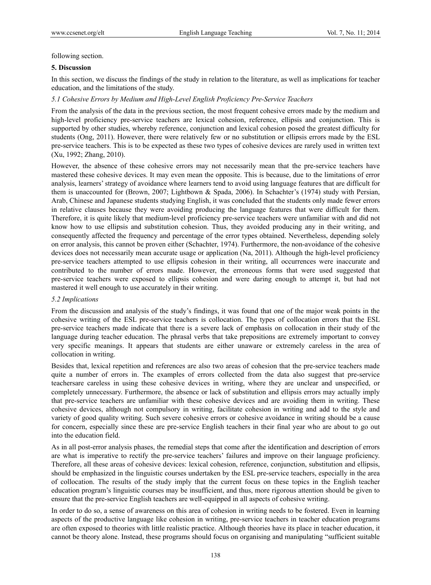#### following section.

#### **5. Discussion**

In this section, we discuss the findings of the study in relation to the literature, as well as implications for teacher education, and the limitations of the study.

## *5.1 Cohesive Errors by Medium and High-Level English Proficiency Pre-Service Teachers*

From the analysis of the data in the previous section, the most frequent cohesive errors made by the medium and high-level proficiency pre-service teachers are lexical cohesion, reference, ellipsis and conjunction. This is supported by other studies, whereby reference, conjunction and lexical cohesion posed the greatest difficulty for students (Ong, 2011). However, there were relatively few or no substitution or ellipsis errors made by the ESL pre-service teachers. This is to be expected as these two types of cohesive devices are rarely used in written text (Xu, 1992; Zhang, 2010).

However, the absence of these cohesive errors may not necessarily mean that the pre-service teachers have mastered these cohesive devices. It may even mean the opposite. This is because, due to the limitations of error analysis, learners' strategy of avoidance where learners tend to avoid using language features that are difficult for them is unaccounted for (Brown, 2007; Lightbown & Spada, 2006). In Schachter's (1974) study with Persian, Arab, Chinese and Japanese students studying English, it was concluded that the students only made fewer errors in relative clauses because they were avoiding producing the language features that were difficult for them. Therefore, it is quite likely that medium-level proficiency pre-service teachers were unfamiliar with and did not know how to use ellipsis and substitution cohesion. Thus, they avoided producing any in their writing, and consequently affected the frequency and percentage of the error types obtained. Nevertheless, depending solely on error analysis, this cannot be proven either (Schachter, 1974). Furthermore, the non-avoidance of the cohesive devices does not necessarily mean accurate usage or application (Na, 2011). Although the high-level proficiency pre-service teachers attempted to use ellipsis cohesion in their writing, all occurrences were inaccurate and contributed to the number of errors made. However, the erroneous forms that were used suggested that pre-service teachers were exposed to ellipsis cohesion and were daring enough to attempt it, but had not mastered it well enough to use accurately in their writing.

#### *5.2 Implications*

From the discussion and analysis of the study's findings, it was found that one of the major weak points in the cohesive writing of the ESL pre-service teachers is collocation. The types of collocation errors that the ESL pre-service teachers made indicate that there is a severe lack of emphasis on collocation in their study of the language during teacher education. The phrasal verbs that take prepositions are extremely important to convey very specific meanings. It appears that students are either unaware or extremely careless in the area of collocation in writing.

Besides that, lexical repetition and references are also two areas of cohesion that the pre-service teachers made quite a number of errors in. The examples of errors collected from the data also suggest that pre-service teachersare careless in using these cohesive devices in writing, where they are unclear and unspecified, or completely unnecessary. Furthermore, the absence or lack of substitution and ellipsis errors may actually imply that pre-service teachers are unfamiliar with these cohesive devices and are avoiding them in writing. These cohesive devices, although not compulsory in writing, facilitate cohesion in writing and add to the style and variety of good quality writing. Such severe cohesive errors or cohesive avoidance in writing should be a cause for concern, especially since these are pre-service English teachers in their final year who are about to go out into the education field.

As in all post-error analysis phases, the remedial steps that come after the identification and description of errors are what is imperative to rectify the pre-service teachers' failures and improve on their language proficiency. Therefore, all these areas of cohesive devices: lexical cohesion, reference, conjunction, substitution and ellipsis, should be emphasized in the linguistic courses undertaken by the ESL pre-service teachers, especially in the area of collocation. The results of the study imply that the current focus on these topics in the English teacher education program's linguistic courses may be insufficient, and thus, more rigorous attention should be given to ensure that the pre-service English teachers are well-equipped in all aspects of cohesive writing.

In order to do so, a sense of awareness on this area of cohesion in writing needs to be fostered. Even in learning aspects of the productive language like cohesion in writing, pre-service teachers in teacher education programs are often exposed to theories with little realistic practice. Although theories have its place in teacher education, it cannot be theory alone. Instead, these programs should focus on organising and manipulating "sufficient suitable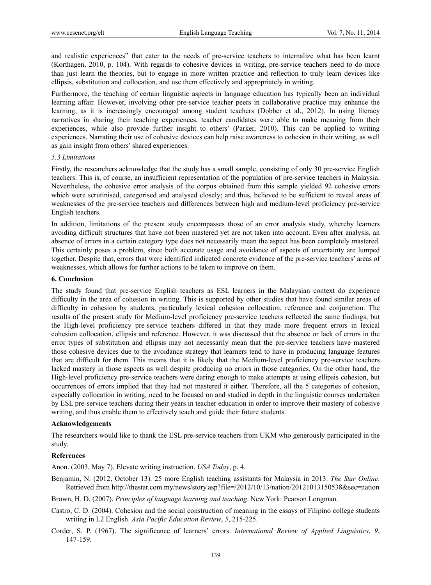and realistic experiences" that cater to the needs of pre-service teachers to internalize what has been learnt (Korthagen, 2010, p. 104). With regards to cohesive devices in writing, pre-service teachers need to do more than just learn the theories, but to engage in more written practice and reflection to truly learn devices like ellipsis, substitution and collocation, and use them effectively and appropriately in writing.

Furthermore, the teaching of certain linguistic aspects in language education has typically been an individual learning affair. However, involving other pre-service teacher peers in collaborative practice may enhance the learning, as it is increasingly encouraged among student teachers (Dobber et al., 2012). In using literacy narratives in sharing their teaching experiences, teacher candidates were able to make meaning from their experiences, while also provide further insight to others' (Parker, 2010). This can be applied to writing experiences. Narrating their use of cohesive devices can help raise awareness to cohesion in their writing, as well as gain insight from others' shared experiences.

#### *5.3 Limitations*

Firstly, the researchers acknowledge that the study has a small sample, consisting of only 30 pre-service English teachers. This is, of course, an insufficient representation of the population of pre-service teachers in Malaysia. Nevertheless, the cohesive error analysis of the corpus obtained from this sample yielded 92 cohesive errors which were scrutinised, categorised and analysed closely; and thus, believed to be sufficient to reveal areas of weaknesses of the pre-service teachers and differences between high and medium-level proficiency pre-service English teachers.

In addition, limitations of the present study encompasses those of an error analysis study, whereby learners avoiding difficult structures that have not been mastered yet are not taken into account. Even after analysis, an absence of errors in a certain category type does not necessarily mean the aspect has been completely mastered. This certainly poses a problem, since both accurate usage and avoidance of aspects of uncertainty are lumped together. Despite that, errors that were identified indicated concrete evidence of the pre-service teachers' areas of weaknesses, which allows for further actions to be taken to improve on them.

#### **6. Conclusion**

The study found that pre-service English teachers as ESL learners in the Malaysian context do experience difficulty in the area of cohesion in writing. This is supported by other studies that have found similar areas of difficulty in cohesion by students, particularly lexical cohesion collocation, reference and conjunction. The results of the present study for Medium-level proficiency pre-service teachers reflected the same findings, but the High-level proficiency pre-service teachers differed in that they made more frequent errors in lexical cohesion collocation, ellipsis and reference. However, it was discussed that the absence or lack of errors in the error types of substitution and ellipsis may not necessarily mean that the pre-service teachers have mastered those cohesive devices due to the avoidance strategy that learners tend to have in producing language features that are difficult for them. This means that it is likely that the Medium-level proficiency pre-service teachers lacked mastery in those aspects as well despite producing no errors in those categories. On the other hand, the High-level proficiency pre-service teachers were daring enough to make attempts at using ellipsis cohesion, but occurrences of errors implied that they had not mastered it either. Therefore, all the 5 categories of cohesion, especially collocation in writing, need to be focused on and studied in depth in the linguistic courses undertaken by ESL pre-service teachers during their years in teacher education in order to improve their mastery of cohesive writing, and thus enable them to effectively teach and guide their future students.

#### **Acknowledgements**

The researchers would like to thank the ESL pre-service teachers from UKM who generously participated in the study.

#### **References**

Anon. (2003, May 7). Elevate writing instruction. *USA Today*, p. 4.

Benjamin, N. (2012, October 13). 25 more English teaching assistants for Malaysia in 2013. *The Star Online*. Retrieved from http://thestar.com.my/news/story.asp?file=/2012/10/13/nation/20121013150538&sec=nation

Brown, H. D. (2007). *Principles of language learning and teaching*. New York: Pearson Longman.

- Castro, C. D. (2004). Cohesion and the social construction of meaning in the essays of Filipino college students writing in L2 English. *Asia Pacific Education Review*, *5*, 215-225.
- Corder, S. P. (1967). The significance of learners' errors. *International Review of Applied Linguistics*, *9*, 147-159.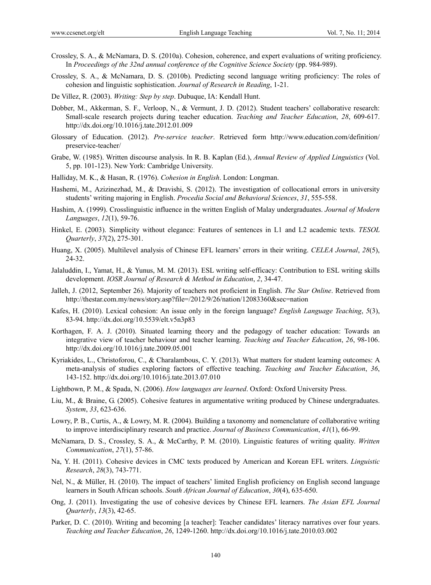- Crossley, S. A., & McNamara, D. S. (2010a). Cohesion, coherence, and expert evaluations of writing proficiency. In *Proceedings of the 32nd annual conference of the Cognitive Science Society* (pp. 984-989).
- Crossley, S. A., & McNamara, D. S. (2010b). Predicting second language writing proficiency: The roles of cohesion and linguistic sophistication. *Journal of Research in Reading*, 1-21.
- De Villez, R. (2003). *Writing: Step by step*. Dubuque, IA: Kendall Hunt.
- Dobber, M., Akkerman, S. F., Verloop, N., & Vermunt, J. D. (2012). Student teachers' collaborative research: Small-scale research projects during teacher education. *Teaching and Teacher Education*, *28*, 609-617. http://dx.doi.org/10.1016/j.tate.2012.01.009
- Glossary of Education. (2012). *Pre-service teacher*. Retrieved form http://www.education.com/definition/ preservice-teacher/
- Grabe, W. (1985). Written discourse analysis. In R. B. Kaplan (Ed.), *Annual Review of Applied Linguistics* (Vol. 5, pp. 101-123). New York: Cambridge University.
- Halliday, M. K., & Hasan, R. (1976). *Cohesion in English*. London: Longman.
- Hashemi, M., Azizinezhad, M., & Dravishi, S. (2012). The investigation of collocational errors in university students' writing majoring in English. *Procedia Social and Behavioral Sciences*, *31*, 555-558.
- Hashim, A. (1999). Crosslinguistic influence in the written English of Malay undergraduates. *Journal of Modern Languages*, *12*(1), 59-76.
- Hinkel, E. (2003). Simplicity without elegance: Features of sentences in L1 and L2 academic texts. *TESOL Quarterly*, *37*(2), 275-301.
- Huang, X. (2005). Multilevel analysis of Chinese EFL learners' errors in their writing. *CELEA Journal*, *28*(5), 24-32.
- Jalaluddin, I., Yamat, H., & Yunus, M. M. (2013). ESL writing self-efficacy: Contribution to ESL writing skills development. *IOSR Journal of Research & Method in Education*, *2*, 34-47.
- Jalleh, J. (2012, September 26). Majority of teachers not proficient in English. *The Star Online*. Retrieved from http://thestar.com.my/news/story.asp?file=/2012/9/26/nation/12083360&sec=nation
- Kafes, H. (2010). Lexical cohesion: An issue only in the foreign language? *English Language Teaching*, *5*(3), 83-94. http://dx.doi.org/10.5539/elt.v5n3p83
- Korthagen, F. A. J. (2010). Situated learning theory and the pedagogy of teacher education: Towards an integrative view of teacher behaviour and teacher learning. *Teaching and Teacher Education*, *26*, 98-106. http://dx.doi.org/10.1016/j.tate.2009.05.001
- Kyriakides, L., Christoforou, C., & Charalambous, C. Y. (2013). What matters for student learning outcomes: A meta-analysis of studies exploring factors of effective teaching. *Teaching and Teacher Education*, *36*, 143-152. http://dx.doi.org/10.1016/j.tate.2013.07.010
- Lightbown, P. M., & Spada, N. (2006). *How languages are learned*. Oxford: Oxford University Press.
- Liu, M., & Braine, G. (2005). Cohesive features in argumentative writing produced by Chinese undergraduates. *System*, *33*, 623-636.
- Lowry, P. B., Curtis, A., & Lowry, M. R. (2004). Building a taxonomy and nomenclature of collaborative writing to improve interdisciplinary research and practice. *Journal of Business Communication*, *41*(1), 66-99.
- McNamara, D. S., Crossley, S. A., & McCarthy, P. M. (2010). Linguistic features of writing quality. *Written Communication*, *27*(1), 57-86.
- Na, Y. H. (2011). Cohesive devices in CMC texts produced by American and Korean EFL writers. *Linguistic Research*, *28*(3), 743-771.
- Nel, N., & Müller, H. (2010). The impact of teachers' limited English proficiency on English second language learners in South African schools. *South African Journal of Education*, *30*(4), 635-650.
- Ong, J. (2011). Investigating the use of cohesive devices by Chinese EFL learners. *The Asian EFL Journal Quarterly*, *13*(3), 42-65.
- Parker, D. C. (2010). Writing and becoming [a teacher]: Teacher candidates' literacy narratives over four years. *Teaching and Teacher Education*, *26*, 1249-1260. http://dx.doi.org/10.1016/j.tate.2010.03.002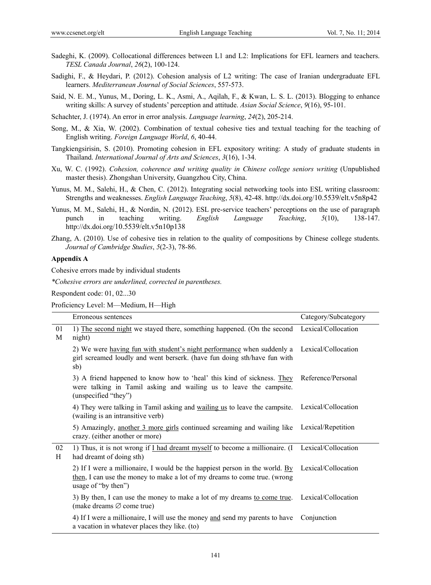- Sadeghi, K. (2009). Collocational differences between L1 and L2: Implications for EFL learners and teachers. *TESL Canada Journal*, *26*(2), 100-124.
- Sadighi, F., & Heydari, P. (2012). Cohesion analysis of L2 writing: The case of Iranian undergraduate EFL learners. *Mediterranean Journal of Social Sciences*, 557-573.
- Said, N. E. M., Yunus, M., Doring, L. K., Asmi, A., Aqilah, F., & Kwan, L. S. L. (2013). Blogging to enhance writing skills: A survey of students' perception and attitude. *Asian Social Science*, *9*(16), 95-101.
- Schachter, J. (1974). An error in error analysis. *Language learning*, *24*(2), 205-214.
- Song, M., & Xia, W. (2002). Combination of textual cohesive ties and textual teaching for the teaching of English writing. *Foreign Language World*, *6*, 40-44.
- Tangkiengsirisin, S. (2010). Promoting cohesion in EFL expository writing: A study of graduate students in Thailand. *International Journal of Arts and Sciences*, *3*(16), 1-34.
- Xu, W. C. (1992). *Cohesion, coherence and writing quality in Chinese college seniors writing* (Unpublished master thesis). Zhongshan University, Guangzhou City, China.
- Yunus, M. M., Salehi, H., & Chen, C. (2012). Integrating social networking tools into ESL writing classroom: Strengths and weaknesses. *English Language Teaching*, *5*(8), 42-48. http://dx.doi.org/10.5539/elt.v5n8p42
- Yunus, M. M., Salehi, H., & Nordin, N. (2012). ESL pre-service teachers' perceptions on the use of paragraph punch in teaching writing. *English Language Teaching*, *5*(10), 138-147. http://dx.doi.org/10.5539/elt.v5n10p138
- Zhang, A. (2010). Use of cohesive ties in relation to the quality of compositions by Chinese college students. *Journal of Cambridge Studies*, *5*(2-3), 78-86.

#### **Appendix A**

Cohesive errors made by individual students

*\*Cohesive errors are underlined, corrected in parentheses.* 

Respondent code: 01, 02...30

Proficiency Level: M—Medium, H—High

|         | Erroneous sentences                                                                                                                                                                                 | Category/Subcategory |
|---------|-----------------------------------------------------------------------------------------------------------------------------------------------------------------------------------------------------|----------------------|
| 01<br>M | 1) The second night we stayed there, something happened. (On the second Lexical/Collocation<br>night)                                                                                               |                      |
|         | 2) We were having fun with student's night performance when suddenly a Lexical/Collocation<br>girl screamed loudly and went berserk. (have fun doing sth/have fun with<br>sb)                       |                      |
|         | 3) A friend happened to know how to 'heal' this kind of sickness. They Reference/Personal<br>were talking in Tamil asking and wailing us to leave the campsite.<br>(unspecified "they")             |                      |
|         | 4) They were talking in Tamil asking and wailing us to leave the campsite.<br>(wailing is an intransitive verb)                                                                                     | Lexical/Collocation  |
|         | 5) Amazingly, another 3 more girls continued screaming and wailing like Lexical/Repetition<br>crazy. (either another or more)                                                                       |                      |
| 02<br>H | 1) Thus, it is not wrong if $I$ had dreamt myself to become a millionaire. (I Lexical/Collocation<br>had dreamt of doing sth)                                                                       |                      |
|         | 2) If I were a millionaire, I would be the happiest person in the world. By Lexical/Collocation<br>then, I can use the money to make a lot of my dreams to come true. (wrong<br>usage of "by then") |                      |
|         | 3) By then, I can use the money to make a lot of my dreams to come true.<br>(make dreams $\varnothing$ come true)                                                                                   | Lexical/Collocation  |
|         | 4) If I were a millionaire, I will use the money and send my parents to have<br>a vacation in whatever places they like. (to)                                                                       | Conjunction          |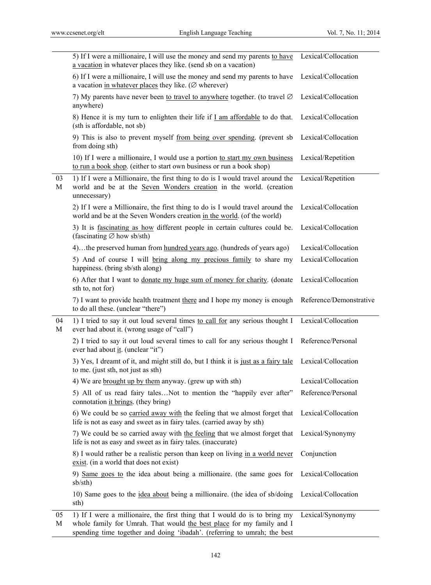|                   | 5) If I were a millionaire, I will use the money and send my parents to have<br>a vacation in whatever places they like. (send sb on a vacation)                                                                                | Lexical/Collocation     |
|-------------------|---------------------------------------------------------------------------------------------------------------------------------------------------------------------------------------------------------------------------------|-------------------------|
|                   | 6) If I were a millionaire, I will use the money and send my parents to have<br>a vacation in whatever places they like. ( $\varnothing$ wherever)                                                                              | Lexical/Collocation     |
|                   | 7) My parents have never been to travel to anywhere together. (to travel $\varnothing$<br>anywhere)                                                                                                                             | Lexical/Collocation     |
|                   | 8) Hence it is my turn to enlighten their life if I am affordable to do that.<br>(sth is affordable, not sb)                                                                                                                    | Lexical/Collocation     |
|                   | 9) This is also to prevent myself from being over spending. (prevent sb<br>from doing sth)                                                                                                                                      | Lexical/Collocation     |
|                   | 10) If I were a millionaire, I would use a portion to start my own business<br>to run a book shop. (either to start own business or run a book shop)                                                                            | Lexical/Repetition      |
| 03<br>$\mathbf M$ | 1) If I were a Millionaire, the first thing to do is I would travel around the<br>world and be at the Seven Wonders creation in the world. (creation<br>unnecessary)                                                            | Lexical/Repetition      |
|                   | 2) If I were a Millionaire, the first thing to do is I would travel around the<br>world and be at the Seven Wonders creation in the world. (of the world)                                                                       | Lexical/Collocation     |
|                   | 3) It is fascinating as how different people in certain cultures could be.<br>(fascinating $\varnothing$ how sb/sth)                                                                                                            | Lexical/Collocation     |
|                   | 4)the preserved human from hundred years ago. (hundreds of years ago)                                                                                                                                                           | Lexical/Collocation     |
|                   | 5) And of course I will bring along my precious family to share my<br>happiness. (bring sb/sth along)                                                                                                                           | Lexical/Collocation     |
|                   | 6) After that I want to donate my huge sum of money for charity. (donate<br>sth to, not for)                                                                                                                                    | Lexical/Collocation     |
|                   | 7) I want to provide health treatment there and I hope my money is enough<br>to do all these. (unclear "there")                                                                                                                 | Reference/Demonstrative |
| 04<br>M           | 1) I tried to say it out loud several times to call for any serious thought I<br>ever had about it. (wrong usage of "call")                                                                                                     | Lexical/Collocation     |
|                   | 2) I tried to say it out loud several times to call for any serious thought I<br>ever had about it. (unclear "it")                                                                                                              | Reference/Personal      |
|                   | 3) Yes, I dreamt of it, and might still do, but I think it is just as a fairy tale<br>to me. (just sth, not just as sth)                                                                                                        | Lexical/Collocation     |
|                   | 4) We are brought up by them anyway. (grew up with sth)                                                                                                                                                                         | Lexical/Collocation     |
|                   | 5) All of us read fairy talesNot to mention the "happily ever after"<br>connotation it brings. (they bring)                                                                                                                     | Reference/Personal      |
|                   | 6) We could be so carried away with the feeling that we almost forget that<br>life is not as easy and sweet as in fairy tales. (carried away by sth)                                                                            | Lexical/Collocation     |
|                   | 7) We could be so carried away with the feeling that we almost forget that<br>life is not as easy and sweet as in fairy tales. (inaccurate)                                                                                     | Lexical/Synonymy        |
|                   | 8) I would rather be a realistic person than keep on living in a world never<br>exist. (in a world that does not exist)                                                                                                         | Conjunction             |
|                   | 9) Same goes to the idea about being a millionaire. (the same goes for<br>sb/sth)                                                                                                                                               | Lexical/Collocation     |
|                   | 10) Same goes to the idea about being a millionaire. (the idea of sb/doing<br>sth)                                                                                                                                              | Lexical/Collocation     |
| 05<br>$\mathbf M$ | 1) If I were a millionaire, the first thing that I would do is to bring my<br>whole family for Umrah. That would the best place for my family and I<br>spending time together and doing 'ibadah'. (referring to umrah; the best | Lexical/Synonymy        |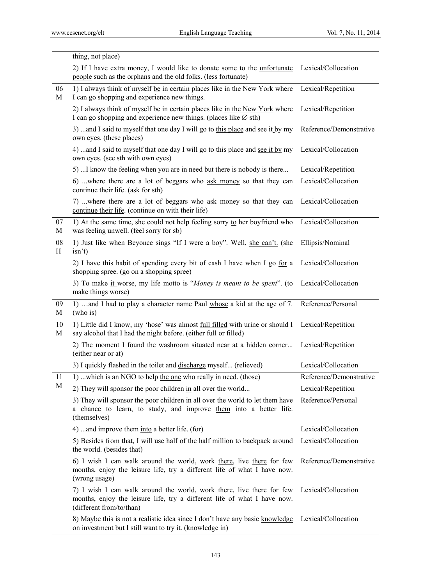|                 | thing, not place)                                                                                                                                                             |                         |
|-----------------|-------------------------------------------------------------------------------------------------------------------------------------------------------------------------------|-------------------------|
|                 | 2) If I have extra money, I would like to donate some to the <i>unfortunate</i><br>people such as the orphans and the old folks. (less fortunate)                             | Lexical/Collocation     |
| 06<br>M         | 1) I always think of myself be in certain places like in the New York where<br>I can go shopping and experience new things.                                                   | Lexical/Repetition      |
|                 | 2) I always think of myself be in certain places like in the New York where<br>I can go shopping and experience new things. (places like $\emptyset$ sth)                     | Lexical/Repetition      |
|                 | 3)  and I said to myself that one day I will go to this place and see it by my<br>own eyes. (these places)                                                                    | Reference/Demonstrative |
|                 | 4)  and I said to myself that one day I will go to this place and see it by my<br>own eyes. (see sth with own eyes)                                                           | Lexical/Collocation     |
|                 | 5) I know the feeling when you are in need but there is nobody is there                                                                                                       | Lexical/Repetition      |
|                 | 6) where there are a lot of beggars who ask money so that they can<br>continue their life. (ask for sth)                                                                      | Lexical/Collocation     |
|                 | 7) where there are a lot of beggars who ask money so that they can<br>continue their life. (continue on with their life)                                                      | Lexical/Collocation     |
| 07<br>M         | 1) At the same time, she could not help feeling sorry to her boyfriend who<br>was feeling unwell. (feel sorry for sb)                                                         | Lexical/Collocation     |
| ${\bf 08}$<br>H | 1) Just like when Beyonce sings "If I were a boy". Well, she can't. (she<br>isin't)                                                                                           | Ellipsis/Nominal        |
|                 | 2) I have this habit of spending every bit of cash I have when I go for a<br>shopping spree. (go on a shopping spree)                                                         | Lexical/Collocation     |
|                 | 3) To make it worse, my life motto is "Money is meant to be spent". (to<br>make things worse)                                                                                 | Lexical/Collocation     |
| 09<br>M         | 1)  and I had to play a character name Paul whose a kid at the age of 7.<br>(who is)                                                                                          | Reference/Personal      |
| 10<br>M         | 1) Little did I know, my 'hose' was almost full filled with urine or should I<br>say alcohol that I had the night before. (either full or filled)                             | Lexical/Repetition      |
|                 | 2) The moment I found the washroom situated near at a hidden corner<br>(either near or at)                                                                                    | Lexical/Repetition      |
|                 | 3) I quickly flashed in the toilet and discharge myself (relieved)                                                                                                            | Lexical/Collocation     |
| 11              | 1) which is an NGO to help the one who really in need. (those)                                                                                                                | Reference/Demonstrative |
| M               | 2) They will sponsor the poor children in all over the world                                                                                                                  | Lexical/Repetition      |
|                 | 3) They will sponsor the poor children in all over the world to let them have<br>a chance to learn, to study, and improve them into a better life.<br>(themselves)            | Reference/Personal      |
|                 | 4)  and improve them into a better life. (for)                                                                                                                                | Lexical/Collocation     |
|                 | 5) Besides from that, I will use half of the half million to backpack around<br>the world. (besides that)                                                                     | Lexical/Collocation     |
|                 | 6) I wish I can walk around the world, work there, live there for few<br>months, enjoy the leisure life, try a different life of what I have now.<br>(wrong usage)            | Reference/Demonstrative |
|                 | 7) I wish I can walk around the world, work there, live there for few<br>months, enjoy the leisure life, try a different life of what I have now.<br>(different from/to/than) | Lexical/Collocation     |
|                 | 8) Maybe this is not a realistic idea since I don't have any basic knowledge<br>on investment but I still want to try it. (knowledge in)                                      | Lexical/Collocation     |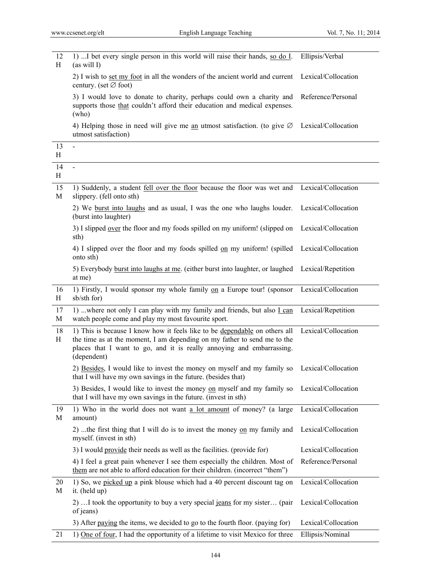| 12<br>H | 1)  I bet every single person in this world will raise their hands, so do I.<br>(as will I)                                                                                                                                                    | Ellipsis/Verbal     |
|---------|------------------------------------------------------------------------------------------------------------------------------------------------------------------------------------------------------------------------------------------------|---------------------|
|         | 2) I wish to set my foot in all the wonders of the ancient world and current<br>century. (set $\varnothing$ foot)                                                                                                                              | Lexical/Collocation |
|         | 3) I would love to donate to charity, perhaps could own a charity and<br>supports those that couldn't afford their education and medical expenses.<br>(who)                                                                                    | Reference/Personal  |
|         | 4) Helping those in need will give me an utmost satisfaction. (to give $\varnothing$<br>utmost satisfaction)                                                                                                                                   | Lexical/Collocation |
| 13<br>H |                                                                                                                                                                                                                                                |                     |
| 14<br>H |                                                                                                                                                                                                                                                |                     |
| 15<br>M | 1) Suddenly, a student fell over the floor because the floor was wet and<br>slippery. (fell onto sth)                                                                                                                                          | Lexical/Collocation |
|         | 2) We burst into laughs and as usual, I was the one who laughs louder.<br>(burst into laughter)                                                                                                                                                | Lexical/Collocation |
|         | 3) I slipped <u>over</u> the floor and my foods spilled on my uniform! (slipped on<br>sth)                                                                                                                                                     | Lexical/Collocation |
|         | 4) I slipped over the floor and my foods spilled on my uniform! (spilled<br>onto sth)                                                                                                                                                          | Lexical/Collocation |
|         | 5) Everybody burst into laughs at me. (either burst into laughter, or laughed<br>at me)                                                                                                                                                        | Lexical/Repetition  |
| 16<br>H | 1) Firstly, I would sponsor my whole family on a Europe tour! (sponsor<br>sb/sth for)                                                                                                                                                          | Lexical/Collocation |
| 17<br>M | 1) where not only I can play with my family and friends, but also I can<br>watch people come and play my most favourite sport.                                                                                                                 | Lexical/Repetition  |
| 18<br>H | 1) This is because I know how it feels like to be dependable on others all<br>the time as at the moment, I am depending on my father to send me to the<br>places that I want to go, and it is really annoying and embarrassing.<br>(dependent) | Lexical/Collocation |
|         | 2) Besides, I would like to invest the money on myself and my family so<br>that I will have my own savings in the future. (besides that)                                                                                                       | Lexical/Collocation |
|         | 3) Besides, I would like to invest the money on myself and my family so<br>that I will have my own savings in the future. (invest in sth)                                                                                                      | Lexical/Collocation |
| 19<br>M | 1) Who in the world does not want a lot amount of money? (a large<br>amount)                                                                                                                                                                   | Lexical/Collocation |
|         | 2) the first thing that I will do is to invest the money on my family and<br>myself. (invest in sth)                                                                                                                                           | Lexical/Collocation |
|         | 3) I would provide their needs as well as the facilities. (provide for)                                                                                                                                                                        | Lexical/Collocation |
|         | 4) I feel a great pain whenever I see them especially the children. Most of<br>them are not able to afford education for their children. (incorrect "them")                                                                                    | Reference/Personal  |
| 20<br>M | 1) So, we picked up a pink blouse which had a 40 percent discount tag on<br>it. (held up)                                                                                                                                                      | Lexical/Collocation |
|         | 2)  I took the opportunity to buy a very special jeans for my sister (pair<br>of jeans)                                                                                                                                                        | Lexical/Collocation |
|         | 3) After paying the items, we decided to go to the fourth floor. (paying for)                                                                                                                                                                  | Lexical/Collocation |
| 21      | 1) One of four, I had the opportunity of a lifetime to visit Mexico for three                                                                                                                                                                  | Ellipsis/Nominal    |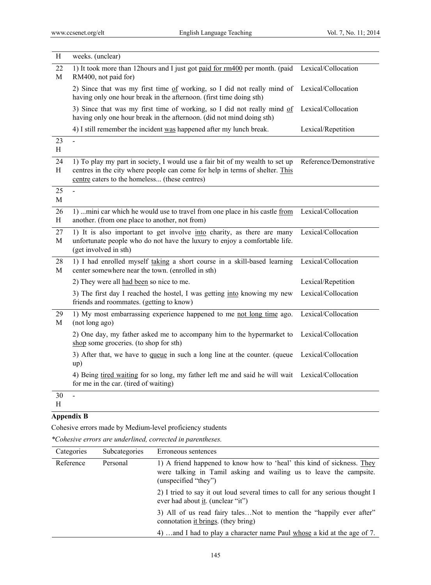| H                  | weeks. (unclear)                                                                                                                                                                                              |                         |
|--------------------|---------------------------------------------------------------------------------------------------------------------------------------------------------------------------------------------------------------|-------------------------|
| 22<br>$\mathbf{M}$ | 1) It took more than 12 hours and I just got paid for rm400 per month. (paid<br>RM400, not paid for)                                                                                                          | Lexical/Collocation     |
|                    | 2) Since that was my first time of working, so I did not really mind of<br>having only one hour break in the afternoon. (first time doing sth)                                                                | Lexical/Collocation     |
|                    | 3) Since that was my first time of working, so I did not really mind of<br>having only one hour break in the afternoon. (did not mind doing sth)                                                              | Lexical/Collocation     |
|                    | 4) I still remember the incident was happened after my lunch break.                                                                                                                                           | Lexical/Repetition      |
| 23<br>H            |                                                                                                                                                                                                               |                         |
| 24<br>H            | 1) To play my part in society, I would use a fair bit of my wealth to set up<br>centres in the city where people can come for help in terms of shelter. This<br>centre caters to the homeless (these centres) | Reference/Demonstrative |
| 25<br>M            | $\overline{a}$                                                                                                                                                                                                |                         |
| 26<br>H            | 1) mini car which he would use to travel from one place in his castle from<br>another. (from one place to another, not from)                                                                                  | Lexical/Collocation     |
| 27<br>$\mathbf{M}$ | 1) It is also important to get involve into charity, as there are many<br>unfortunate people who do not have the luxury to enjoy a comfortable life.<br>(get involved in sth)                                 | Lexical/Collocation     |
| 28<br>M            | 1) I had enrolled myself taking a short course in a skill-based learning<br>center somewhere near the town. (enrolled in sth)                                                                                 | Lexical/Collocation     |
|                    | 2) They were all had been so nice to me.                                                                                                                                                                      | Lexical/Repetition      |
|                    | 3) The first day I reached the hostel, I was getting into knowing my new<br>friends and roommates. (getting to know)                                                                                          | Lexical/Collocation     |
| 29<br>M            | 1) My most embarrassing experience happened to me not long time ago.<br>(not long ago)                                                                                                                        | Lexical/Collocation     |
|                    | 2) One day, my father asked me to accompany him to the hypermarket to<br>shop some groceries. (to shop for sth)                                                                                               | Lexical/Collocation     |
|                    | 3) After that, we have to queue in such a long line at the counter. (queue<br>up)                                                                                                                             | Lexical/Collocation     |
|                    | 4) Being tired waiting for so long, my father left me and said he will wait Lexical/Collocation<br>for me in the car. (tired of waiting)                                                                      |                         |
| 30<br>Н            |                                                                                                                                                                                                               |                         |

# **Appendix B**

Cohesive errors made by Medium-level proficiency students

*\*Cohesive errors are underlined, corrected in parentheses.* 

| Categories            | Subcategories | Erroneous sentences                                                                                                                                                  |
|-----------------------|---------------|----------------------------------------------------------------------------------------------------------------------------------------------------------------------|
| Reference<br>Personal |               | 1) A friend happened to know how to 'heal' this kind of sickness. They<br>were talking in Tamil asking and wailing us to leave the campsite.<br>(unspecified "they") |
|                       |               | 2) I tried to say it out loud several times to call for any serious thought I<br>ever had about it. (unclear "it")                                                   |
|                       |               | 3) All of us read fairy talesNot to mention the "happily ever after"<br>connotation it brings. (they bring)                                                          |
|                       |               | 4)  and I had to play a character name Paul whose a kid at the age of 7.                                                                                             |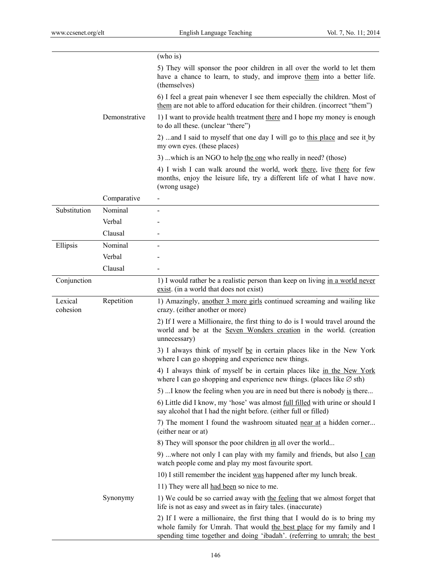|                     |               | (who is)                                                                                                                                                                                                                        |
|---------------------|---------------|---------------------------------------------------------------------------------------------------------------------------------------------------------------------------------------------------------------------------------|
|                     |               | 5) They will sponsor the poor children in all over the world to let them<br>have a chance to learn, to study, and improve them into a better life.<br>(themselves)                                                              |
|                     |               | 6) I feel a great pain whenever I see them especially the children. Most of<br>them are not able to afford education for their children. (incorrect "them")                                                                     |
|                     | Demonstrative | 1) I want to provide health treatment there and I hope my money is enough<br>to do all these. (unclear "there")                                                                                                                 |
|                     |               | 2)  and I said to myself that one day I will go to this place and see it by<br>my own eyes. (these places)                                                                                                                      |
|                     |               | 3) which is an NGO to help the one who really in need? (those)                                                                                                                                                                  |
|                     |               | 4) I wish I can walk around the world, work there, live there for few<br>months, enjoy the leisure life, try a different life of what I have now.<br>(wrong usage)                                                              |
|                     | Comparative   |                                                                                                                                                                                                                                 |
| Substitution        | Nominal       |                                                                                                                                                                                                                                 |
|                     | Verbal        |                                                                                                                                                                                                                                 |
|                     | Clausal       |                                                                                                                                                                                                                                 |
| Ellipsis            | Nominal       |                                                                                                                                                                                                                                 |
|                     | Verbal        |                                                                                                                                                                                                                                 |
|                     | Clausal       |                                                                                                                                                                                                                                 |
| Conjunction         |               | 1) I would rather be a realistic person than keep on living in a world never<br>exist. (in a world that does not exist)                                                                                                         |
| Lexical<br>cohesion | Repetition    | 1) Amazingly, another 3 more girls continued screaming and wailing like<br>crazy. (either another or more)                                                                                                                      |
|                     |               | 2) If I were a Millionaire, the first thing to do is I would travel around the<br>world and be at the Seven Wonders creation in the world. (creation<br>unnecessary)                                                            |
|                     |               | 3) I always think of myself be in certain places like in the New York<br>where I can go shopping and experience new things.                                                                                                     |
|                     |               | 4) I always think of myself be in certain places like in the New York<br>where I can go shopping and experience new things. (places like $\emptyset$ sth)                                                                       |
|                     |               | 5) I know the feeling when you are in need but there is nobody is there                                                                                                                                                         |
|                     |               | 6) Little did I know, my 'hose' was almost full filled with urine or should I<br>say alcohol that I had the night before. (either full or filled)                                                                               |
|                     |               | 7) The moment I found the washroom situated near at a hidden corner<br>(either near or at)                                                                                                                                      |
|                     |               | 8) They will sponsor the poor children in all over the world                                                                                                                                                                    |
|                     |               | 9) where not only I can play with my family and friends, but also I can<br>watch people come and play my most favourite sport.                                                                                                  |
|                     |               | 10) I still remember the incident was happened after my lunch break.                                                                                                                                                            |
|                     |               | 11) They were all had been so nice to me.                                                                                                                                                                                       |
|                     | Synonymy      | 1) We could be so carried away with the feeling that we almost forget that<br>life is not as easy and sweet as in fairy tales. (inaccurate)                                                                                     |
|                     |               | 2) If I were a millionaire, the first thing that I would do is to bring my<br>whole family for Umrah. That would the best place for my family and I<br>spending time together and doing 'ibadah'. (referring to umrah; the best |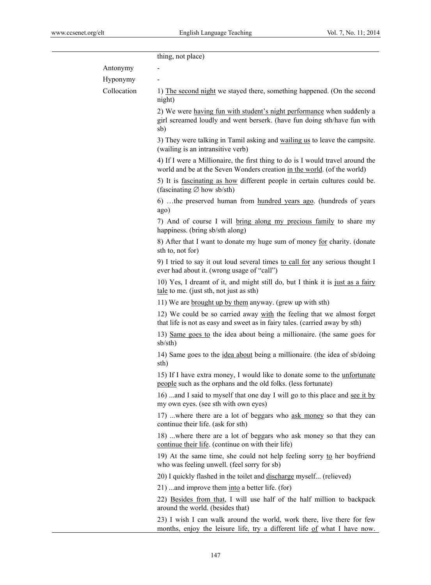|             | thing, not place)                                                                                                                                         |
|-------------|-----------------------------------------------------------------------------------------------------------------------------------------------------------|
| Antonymy    |                                                                                                                                                           |
| Hyponymy    |                                                                                                                                                           |
| Collocation | 1) The second night we stayed there, something happened. (On the second<br>night)                                                                         |
|             | 2) We were having fun with student's night performance when suddenly a<br>girl screamed loudly and went berserk. (have fun doing sth/have fun with<br>sb) |
|             | 3) They were talking in Tamil asking and wailing us to leave the campsite.<br>(wailing is an intransitive verb)                                           |
|             | 4) If I were a Millionaire, the first thing to do is I would travel around the<br>world and be at the Seven Wonders creation in the world. (of the world) |
|             | 5) It is fascinating as how different people in certain cultures could be.<br>(fascinating $\varnothing$ how sb/sth)                                      |
|             | 6) the preserved human from hundred years ago. (hundreds of years<br>ago)                                                                                 |
|             | 7) And of course I will bring along my precious family to share my<br>happiness. (bring sb/sth along)                                                     |
|             | 8) After that I want to donate my huge sum of money <u>for</u> charity. (donate<br>sth to, not for)                                                       |
|             | 9) I tried to say it out loud several times to call for any serious thought I<br>ever had about it. (wrong usage of "call")                               |
|             | 10) Yes, I dreamt of it, and might still do, but I think it is just as a fairy<br>tale to me. (just sth, not just as sth)                                 |
|             | 11) We are brought up by them anyway. (grew up with sth)                                                                                                  |
|             | 12) We could be so carried away with the feeling that we almost forget<br>that life is not as easy and sweet as in fairy tales. (carried away by sth)     |
|             | 13) Same goes to the idea about being a millionaire. (the same goes for<br>sb/sth)                                                                        |
|             | 14) Same goes to the idea about being a millionaire. (the idea of sb/doing<br>sth)                                                                        |
|             | 15) If I have extra money, I would like to donate some to the unfortunate<br>people such as the orphans and the old folks. (less fortunate)               |
|             | 16)  and I said to myself that one day I will go to this place and see it by<br>my own eyes. (see sth with own eyes)                                      |
|             | 17) where there are a lot of beggars who ask money so that they can<br>continue their life. (ask for sth)                                                 |
|             | 18) where there are a lot of beggars who ask money so that they can<br>continue their life. (continue on with their life)                                 |
|             | 19) At the same time, she could not help feeling sorry to her boyfriend<br>who was feeling unwell. (feel sorry for sb)                                    |
|             | 20) I quickly flashed in the toilet and discharge myself (relieved)                                                                                       |
|             | 21)  and improve them into a better life. (for)                                                                                                           |
|             | 22) Besides from that, I will use half of the half million to backpack<br>around the world. (besides that)                                                |
|             | 23) I wish I can walk around the world, work there, live there for few<br>months, enjoy the leisure life, try a different life of what I have now.        |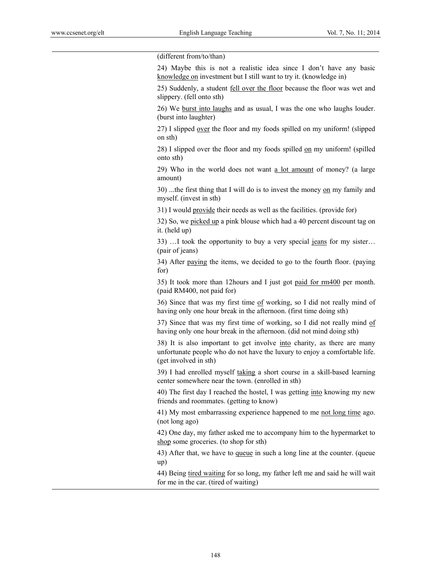(different from/to/than)

24) Maybe this is not a realistic idea since I don't have any basic knowledge on investment but I still want to try it. (knowledge in)

25) Suddenly, a student fell over the floor because the floor was wet and slippery. (fell onto sth)

26) We burst into laughs and as usual, I was the one who laughs louder. (burst into laughter)

27) I slipped over the floor and my foods spilled on my uniform! (slipped on sth)

28) I slipped over the floor and my foods spilled on my uniform! (spilled onto sth)

29) Who in the world does not want a lot amount of money? (a large amount)

30) ...the first thing that I will do is to invest the money on my family and myself. (invest in sth)

31) I would provide their needs as well as the facilities. (provide for)

32) So, we picked up a pink blouse which had a 40 percent discount tag on it. (held up)

33) …I took the opportunity to buy a very special jeans for my sister… (pair of jeans)

34) After paying the items, we decided to go to the fourth floor. (paying for)

35) It took more than 12hours and I just got paid for rm400 per month. (paid RM400, not paid for)

36) Since that was my first time of working, so I did not really mind of having only one hour break in the afternoon. (first time doing sth)

37) Since that was my first time of working, so I did not really mind of having only one hour break in the afternoon. (did not mind doing sth)

38) It is also important to get involve into charity, as there are many unfortunate people who do not have the luxury to enjoy a comfortable life. (get involved in sth)

39) I had enrolled myself taking a short course in a skill-based learning center somewhere near the town. (enrolled in sth)

40) The first day I reached the hostel, I was getting into knowing my new friends and roommates. (getting to know)

41) My most embarrassing experience happened to me not long time ago. (not long ago)

42) One day, my father asked me to accompany him to the hypermarket to shop some groceries. (to shop for sth)

43) After that, we have to queue in such a long line at the counter. (queue up)

44) Being tired waiting for so long, my father left me and said he will wait for me in the car. (tired of waiting)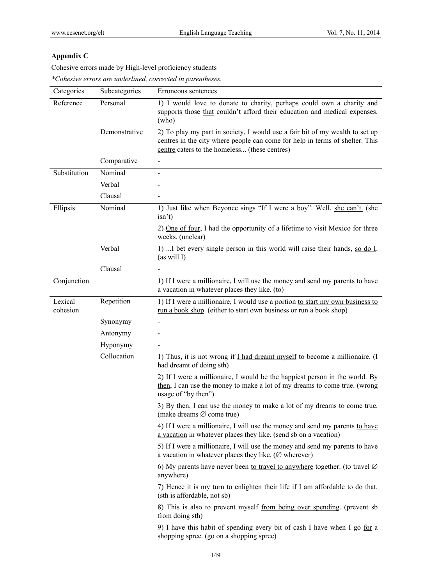# **Appendix C**

Cohesive errors made by High-level proficiency students

*\*Cohesive errors are underlined, corrected in parentheses.* 

| Categories          | Subcategories | Erroneous sentences                                                                                                                                                                                           |
|---------------------|---------------|---------------------------------------------------------------------------------------------------------------------------------------------------------------------------------------------------------------|
| Reference           | Personal      | 1) I would love to donate to charity, perhaps could own a charity and<br>supports those that couldn't afford their education and medical expenses.<br>(who)                                                   |
|                     | Demonstrative | 2) To play my part in society, I would use a fair bit of my wealth to set up<br>centres in the city where people can come for help in terms of shelter. This<br>centre caters to the homeless (these centres) |
|                     | Comparative   |                                                                                                                                                                                                               |
| Substitution        | Nominal       |                                                                                                                                                                                                               |
|                     | Verbal        |                                                                                                                                                                                                               |
|                     | Clausal       |                                                                                                                                                                                                               |
| Ellipsis            | Nominal       | 1) Just like when Beyonce sings "If I were a boy". Well, she can't. (she<br>isn't)                                                                                                                            |
|                     |               | 2) One of four, I had the opportunity of a lifetime to visit Mexico for three<br>weeks. (unclear)                                                                                                             |
|                     | Verbal        | 1) I bet every single person in this world will raise their hands, so do I.<br>(as will I)                                                                                                                    |
|                     | Clausal       |                                                                                                                                                                                                               |
| Conjunction         |               | 1) If I were a millionaire, I will use the money and send my parents to have<br>a vacation in whatever places they like. (to)                                                                                 |
| Lexical<br>cohesion | Repetition    | 1) If I were a millionaire, I would use a portion to start my own business to<br>run a book shop. (either to start own business or run a book shop)                                                           |
|                     | Synonymy      |                                                                                                                                                                                                               |
|                     | Antonymy      |                                                                                                                                                                                                               |
|                     | Hyponymy      |                                                                                                                                                                                                               |
|                     | Collocation   | 1) Thus, it is not wrong if I had dreamt myself to become a millionaire. (I<br>had dreamt of doing sth)                                                                                                       |
|                     |               | 2) If I were a millionaire, I would be the happiest person in the world. By<br>then, I can use the money to make a lot of my dreams to come true. (wrong<br>usage of "by then")                               |
|                     |               | 3) By then, I can use the money to make a lot of my dreams to come true.<br>(make dreams $\varnothing$ come true)                                                                                             |
|                     |               | 4) If I were a millionaire, I will use the money and send my parents to have<br>a vacation in whatever places they like. (send sb on a vacation)                                                              |
|                     |               | 5) If I were a millionaire, I will use the money and send my parents to have<br>a vacation in whatever places they like. ( $\varnothing$ wherever)                                                            |
|                     |               | 6) My parents have never been to travel to anywhere together. (to travel $\varnothing$<br>anywhere)                                                                                                           |
|                     |               | 7) Hence it is my turn to enlighten their life if $I$ am affordable to do that.<br>(sth is affordable, not sb)                                                                                                |
|                     |               | 8) This is also to prevent myself from being over spending. (prevent sb<br>from doing sth)                                                                                                                    |
|                     |               | 9) I have this habit of spending every bit of cash I have when I go for a<br>shopping spree. (go on a shopping spree)                                                                                         |